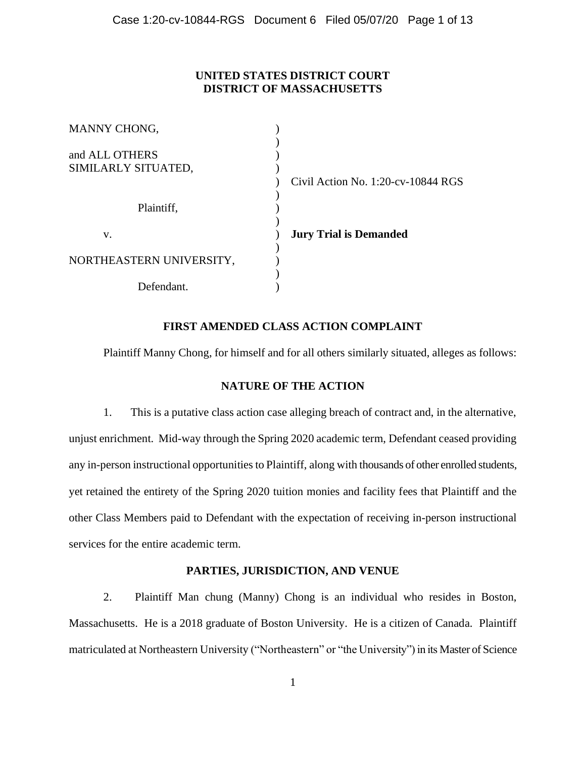# **UNITED STATES DISTRICT COURT DISTRICT OF MASSACHUSETTS**

| <b>MANNY CHONG,</b>                   |                                    |
|---------------------------------------|------------------------------------|
| and ALL OTHERS<br>SIMILARLY SITUATED, | Civil Action No. 1:20-cv-10844 RGS |
| Plaintiff,                            |                                    |
| V.                                    | <b>Jury Trial is Demanded</b>      |
| NORTHEASTERN UNIVERSITY,              |                                    |
| Defendant.                            |                                    |

# **FIRST AMENDED CLASS ACTION COMPLAINT**

Plaintiff Manny Chong, for himself and for all others similarly situated, alleges as follows:

# **NATURE OF THE ACTION**

1. This is a putative class action case alleging breach of contract and, in the alternative, unjust enrichment. Mid-way through the Spring 2020 academic term, Defendant ceased providing any in-person instructional opportunities to Plaintiff, along with thousands of other enrolled students, yet retained the entirety of the Spring 2020 tuition monies and facility fees that Plaintiff and the other Class Members paid to Defendant with the expectation of receiving in-person instructional services for the entire academic term.

## **PARTIES, JURISDICTION, AND VENUE**

2. Plaintiff Man chung (Manny) Chong is an individual who resides in Boston, Massachusetts. He is a 2018 graduate of Boston University. He is a citizen of Canada. Plaintiff matriculated at Northeastern University ("Northeastern" or "the University") in its Master of Science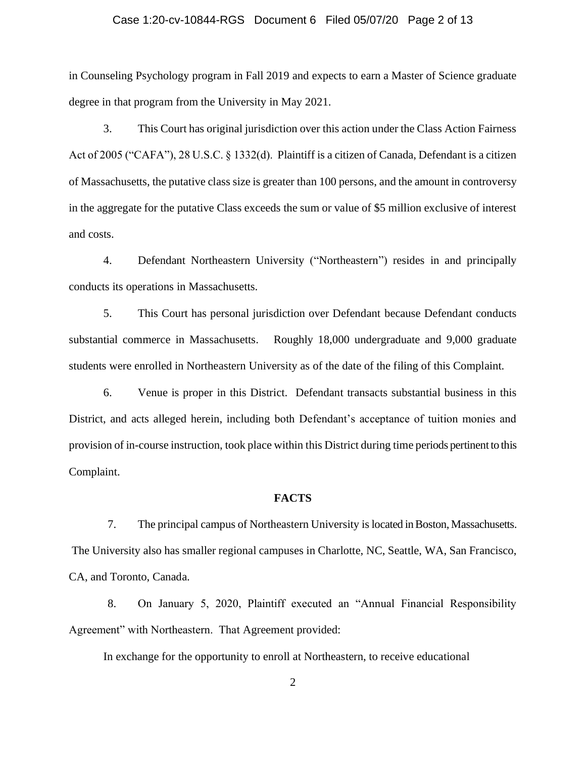### Case 1:20-cv-10844-RGS Document 6 Filed 05/07/20 Page 2 of 13

in Counseling Psychology program in Fall 2019 and expects to earn a Master of Science graduate degree in that program from the University in May 2021.

3. This Court has original jurisdiction over this action under the Class Action Fairness Act of 2005 ("CAFA"), 28 U.S.C. § 1332(d). Plaintiff is a citizen of Canada, Defendant is a citizen of Massachusetts, the putative class size is greater than 100 persons, and the amount in controversy in the aggregate for the putative Class exceeds the sum or value of \$5 million exclusive of interest and costs.

4. Defendant Northeastern University ("Northeastern") resides in and principally conducts its operations in Massachusetts.

5. This Court has personal jurisdiction over Defendant because Defendant conducts substantial commerce in Massachusetts. Roughly 18,000 undergraduate and 9,000 graduate students were enrolled in Northeastern University as of the date of the filing of this Complaint.

6. Venue is proper in this District. Defendant transacts substantial business in this District, and acts alleged herein, including both Defendant's acceptance of tuition monies and provision of in-course instruction, took place within this District during time periods pertinent to this Complaint.

#### **FACTS**

7. The principal campus of Northeastern University is located in Boston, Massachusetts. The University also has smaller regional campuses in Charlotte, NC, Seattle, WA, San Francisco, CA, and Toronto, Canada.

8. On January 5, 2020, Plaintiff executed an "Annual Financial Responsibility Agreement" with Northeastern. That Agreement provided:

In exchange for the opportunity to enroll at Northeastern, to receive educational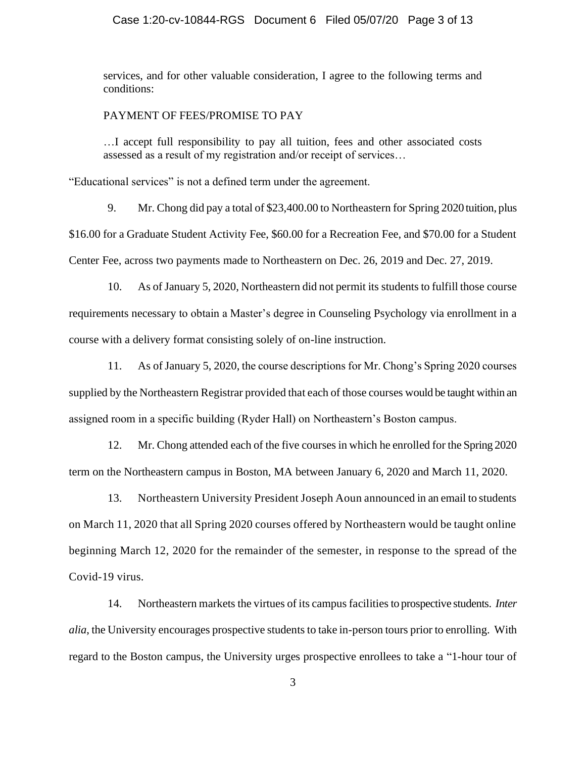### Case 1:20-cv-10844-RGS Document 6 Filed 05/07/20 Page 3 of 13

services, and for other valuable consideration, I agree to the following terms and conditions:

#### PAYMENT OF FEES/PROMISE TO PAY

…I accept full responsibility to pay all tuition, fees and other associated costs assessed as a result of my registration and/or receipt of services…

"Educational services" is not a defined term under the agreement.

9. Mr. Chong did pay a total of \$23,400.00 to Northeastern for Spring 2020 tuition, plus \$16.00 for a Graduate Student Activity Fee, \$60.00 for a Recreation Fee, and \$70.00 for a Student Center Fee, across two payments made to Northeastern on Dec. 26, 2019 and Dec. 27, 2019.

10. As of January 5, 2020, Northeastern did not permit its students to fulfill those course requirements necessary to obtain a Master's degree in Counseling Psychology via enrollment in a course with a delivery format consisting solely of on-line instruction.

11. As of January 5, 2020, the course descriptions for Mr. Chong's Spring 2020 courses supplied by the Northeastern Registrar provided that each of those courses would be taught within an assigned room in a specific building (Ryder Hall) on Northeastern's Boston campus.

12. Mr. Chong attended each of the five courses in which he enrolled for the Spring 2020 term on the Northeastern campus in Boston, MA between January 6, 2020 and March 11, 2020.

13. Northeastern University President Joseph Aoun announced in an email to students on March 11, 2020 that all Spring 2020 courses offered by Northeastern would be taught online beginning March 12, 2020 for the remainder of the semester, in response to the spread of the Covid-19 virus.

14. Northeastern markets the virtues of its campus facilities to prospective students. *Inter alia*, the University encourages prospective students to take in-person tours prior to enrolling. With regard to the Boston campus, the University urges prospective enrollees to take a "1-hour tour of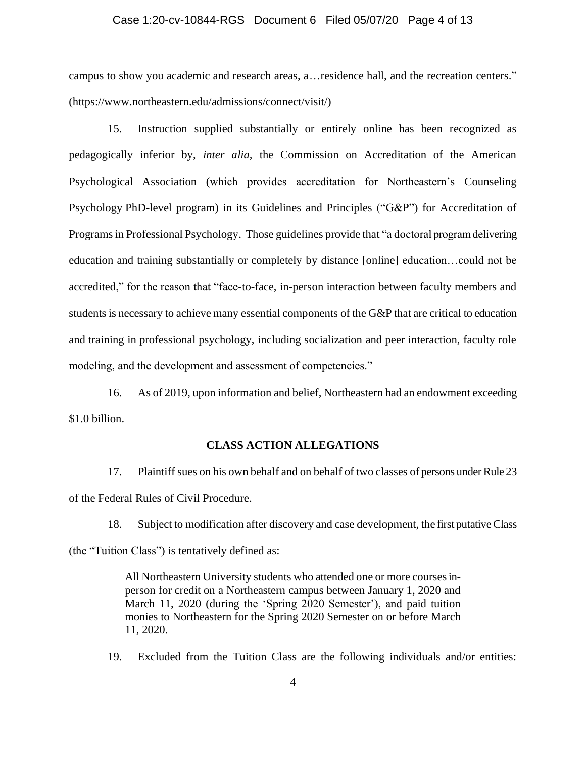### Case 1:20-cv-10844-RGS Document 6 Filed 05/07/20 Page 4 of 13

campus to show you academic and research areas, a…residence hall, and the recreation centers." (https://www.northeastern.edu/admissions/connect/visit/)

15. Instruction supplied substantially or entirely online has been recognized as pedagogically inferior by, *inter alia,* the Commission on Accreditation of the American Psychological Association (which provides accreditation for Northeastern's Counseling Psychology PhD-level program) in its Guidelines and Principles ("G&P") for Accreditation of Programs in Professional Psychology. Those guidelines provide that "a doctoral program delivering education and training substantially or completely by distance [online] education…could not be accredited," for the reason that "face-to-face, in-person interaction between faculty members and students is necessary to achieve many essential components of the G&P that are critical to education and training in professional psychology, including socialization and peer interaction, faculty role modeling, and the development and assessment of competencies."

16. As of 2019, upon information and belief, Northeastern had an endowment exceeding \$1.0 billion.

### **CLASS ACTION ALLEGATIONS**

17. Plaintiffsues on his own behalf and on behalf of two classes of persons under Rule 23 of the Federal Rules of Civil Procedure.

18. Subject to modification after discovery and case development, the first putative Class (the "Tuition Class") is tentatively defined as:

> All Northeastern University students who attended one or more courses inperson for credit on a Northeastern campus between January 1, 2020 and March 11, 2020 (during the 'Spring 2020 Semester'), and paid tuition monies to Northeastern for the Spring 2020 Semester on or before March 11, 2020.

19. Excluded from the Tuition Class are the following individuals and/or entities: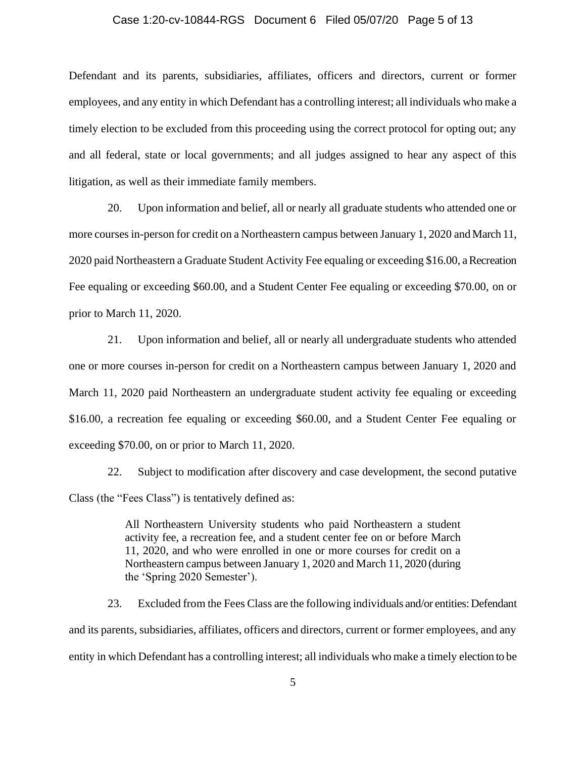#### Case 1:20-cv-10844-RGS Document 6 Filed 05/07/20 Page 5 of 13

Defendant and its parents, subsidiaries, affiliates, officers and directors, current or former employees, and any entity in which Defendant has a controlling interest; all individuals who make a timely election to be excluded from this proceeding using the correct protocol for opting out; any and all federal, state or local governments; and all judges assigned to hear any aspect of this litigation, as well as their immediate family members.

20. Upon information and belief, all or nearly all graduate students who attended one or more courses in-person for credit on a Northeastern campus between January 1, 2020 and March 11, 2020 paid Northeastern a Graduate Student Activity Fee equaling or exceeding \$16.00, a Recreation Fee equaling or exceeding \$60.00, and a Student Center Fee equaling or exceeding \$70.00, on or prior to March 11, 2020.

21. Upon information and belief, all or nearly all undergraduate students who attended one or more courses in-person for credit on a Northeastern campus between January 1, 2020 and March 11, 2020 paid Northeastern an undergraduate student activity fee equaling or exceeding \$16.00, a recreation fee equaling or exceeding \$60.00, and a Student Center Fee equaling or exceeding \$70.00, on or prior to March 11, 2020.

22. Subject to modification after discovery and case development, the second putative Class (the "Fees Class") is tentatively defined as:

> All Northeastern University students who paid Northeastern a student activity fee, a recreation fee, and a student center fee on or before March 11, 2020, and who were enrolled in one or more courses for credit on a Northeastern campus between January 1, 2020 and March 11, 2020 (during the 'Spring 2020 Semester').

23. Excluded from the Fees Class are the following individuals and/or entities: Defendant and its parents, subsidiaries, affiliates, officers and directors, current or former employees, and any entity in which Defendant has a controlling interest; all individuals who make a timely election to be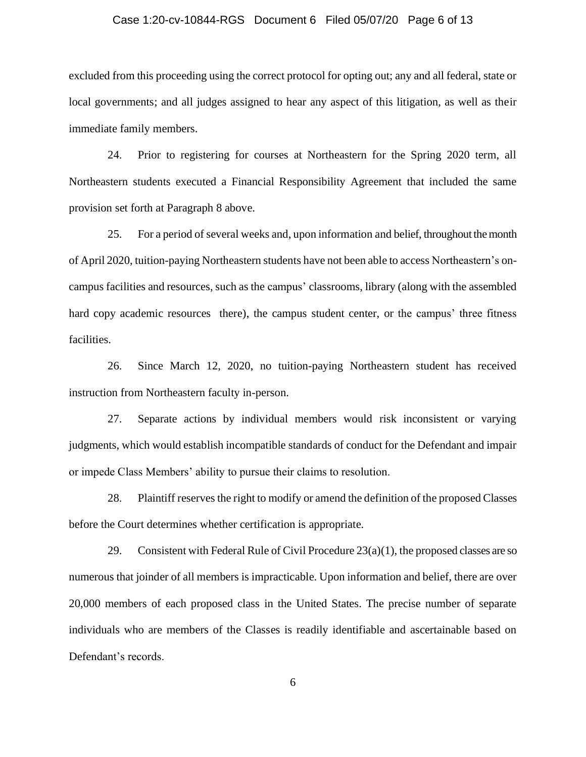### Case 1:20-cv-10844-RGS Document 6 Filed 05/07/20 Page 6 of 13

excluded from this proceeding using the correct protocol for opting out; any and all federal, state or local governments; and all judges assigned to hear any aspect of this litigation, as well as their immediate family members.

24. Prior to registering for courses at Northeastern for the Spring 2020 term, all Northeastern students executed a Financial Responsibility Agreement that included the same provision set forth at Paragraph 8 above.

25. For a period of several weeks and, upon information and belief, throughout the month of April 2020, tuition-paying Northeastern students have not been able to access Northeastern's oncampus facilities and resources, such as the campus' classrooms, library (along with the assembled hard copy academic resources there), the campus student center, or the campus' three fitness facilities.

26. Since March 12, 2020, no tuition-paying Northeastern student has received instruction from Northeastern faculty in-person.

27. Separate actions by individual members would risk inconsistent or varying judgments, which would establish incompatible standards of conduct for the Defendant and impair or impede Class Members' ability to pursue their claims to resolution.

28. Plaintiff reserves the right to modify or amend the definition of the proposed Classes before the Court determines whether certification is appropriate.

29. Consistent with Federal Rule of Civil Procedure  $23(a)(1)$ , the proposed classes are so numerous that joinder of all members is impracticable. Upon information and belief, there are over 20,000 members of each proposed class in the United States. The precise number of separate individuals who are members of the Classes is readily identifiable and ascertainable based on Defendant's records.

6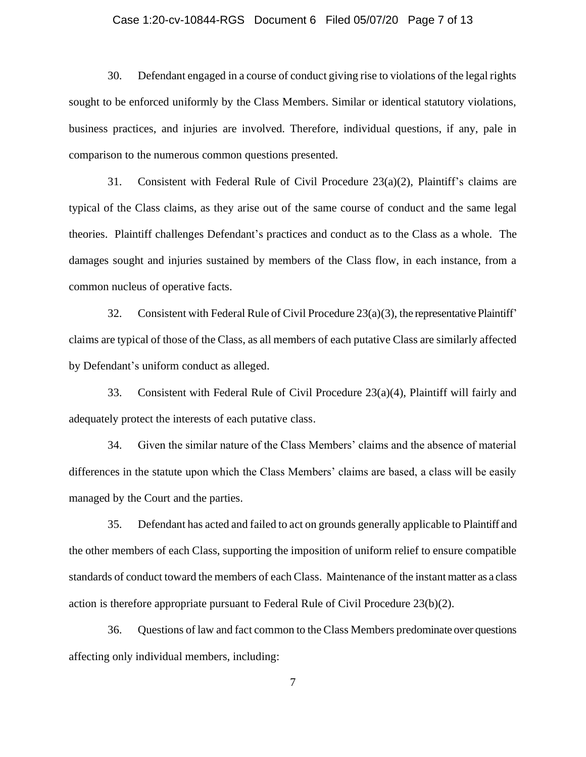### Case 1:20-cv-10844-RGS Document 6 Filed 05/07/20 Page 7 of 13

30. Defendant engaged in a course of conduct giving rise to violations of the legal rights sought to be enforced uniformly by the Class Members. Similar or identical statutory violations, business practices, and injuries are involved. Therefore, individual questions, if any, pale in comparison to the numerous common questions presented.

31. Consistent with Federal Rule of Civil Procedure 23(a)(2), Plaintiff's claims are typical of the Class claims, as they arise out of the same course of conduct and the same legal theories. Plaintiff challenges Defendant's practices and conduct as to the Class as a whole. The damages sought and injuries sustained by members of the Class flow, in each instance, from a common nucleus of operative facts.

32. Consistent with Federal Rule of Civil Procedure 23(a)(3), the representative Plaintiff' claims are typical of those of the Class, as all members of each putative Class are similarly affected by Defendant's uniform conduct as alleged.

33. Consistent with Federal Rule of Civil Procedure 23(a)(4), Plaintiff will fairly and adequately protect the interests of each putative class.

34. Given the similar nature of the Class Members' claims and the absence of material differences in the statute upon which the Class Members' claims are based, a class will be easily managed by the Court and the parties.

35. Defendant has acted and failed to act on grounds generally applicable to Plaintiff and the other members of each Class, supporting the imposition of uniform relief to ensure compatible standards of conduct toward the members of each Class. Maintenance of the instant matter as a class action is therefore appropriate pursuant to Federal Rule of Civil Procedure 23(b)(2).

36. Questions of law and fact common to the Class Members predominate over questions affecting only individual members, including:

7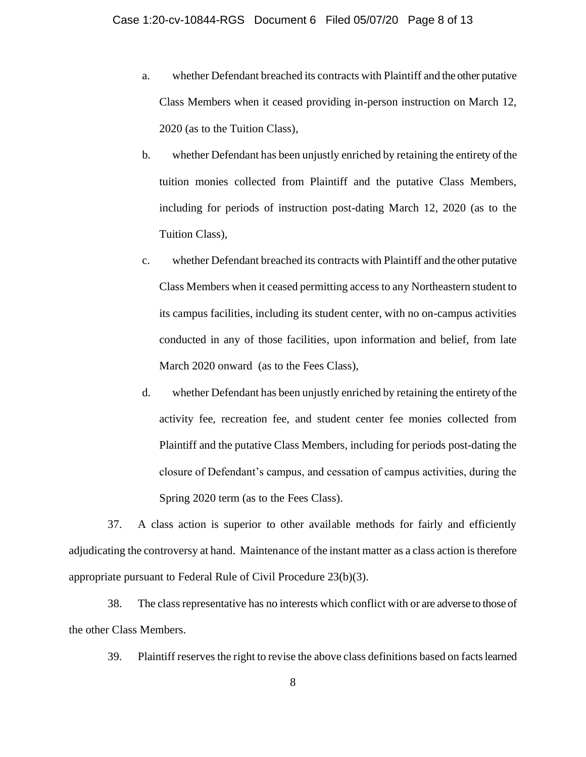- a. whether Defendant breached its contracts with Plaintiff and the other putative Class Members when it ceased providing in-person instruction on March 12, 2020 (as to the Tuition Class),
- b. whether Defendant has been unjustly enriched by retaining the entirety of the tuition monies collected from Plaintiff and the putative Class Members, including for periods of instruction post-dating March 12, 2020 (as to the Tuition Class),
- c. whether Defendant breached its contracts with Plaintiff and the other putative Class Members when it ceased permitting access to any Northeastern student to its campus facilities, including its student center, with no on-campus activities conducted in any of those facilities, upon information and belief, from late March 2020 onward (as to the Fees Class),
- d. whether Defendant has been unjustly enriched by retaining the entirety of the activity fee, recreation fee, and student center fee monies collected from Plaintiff and the putative Class Members, including for periods post-dating the closure of Defendant's campus, and cessation of campus activities, during the Spring 2020 term (as to the Fees Class).

37. A class action is superior to other available methods for fairly and efficiently adjudicating the controversy at hand. Maintenance of the instant matter as a class action is therefore appropriate pursuant to Federal Rule of Civil Procedure 23(b)(3).

38. The class representative has no interests which conflict with or are adverse to those of the other Class Members.

39. Plaintiff reserves the right to revise the above class definitions based on facts learned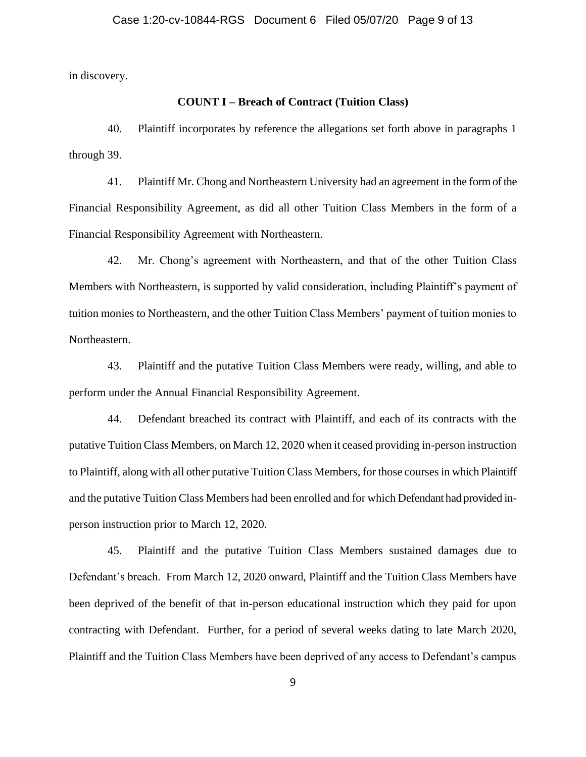in discovery.

## **COUNT I – Breach of Contract (Tuition Class)**

40. Plaintiff incorporates by reference the allegations set forth above in paragraphs 1 through 39.

41. Plaintiff Mr. Chong and Northeastern University had an agreement in the form of the Financial Responsibility Agreement, as did all other Tuition Class Members in the form of a Financial Responsibility Agreement with Northeastern.

42. Mr. Chong's agreement with Northeastern, and that of the other Tuition Class Members with Northeastern, is supported by valid consideration, including Plaintiff's payment of tuition monies to Northeastern, and the other Tuition Class Members' payment of tuition monies to Northeastern.

43. Plaintiff and the putative Tuition Class Members were ready, willing, and able to perform under the Annual Financial Responsibility Agreement.

44. Defendant breached its contract with Plaintiff, and each of its contracts with the putative Tuition Class Members, on March 12, 2020 when it ceased providing in-person instruction to Plaintiff, along with all other putative Tuition Class Members, for those courses in which Plaintiff and the putative Tuition Class Members had been enrolled and for which Defendant had provided inperson instruction prior to March 12, 2020.

45. Plaintiff and the putative Tuition Class Members sustained damages due to Defendant's breach. From March 12, 2020 onward, Plaintiff and the Tuition Class Members have been deprived of the benefit of that in-person educational instruction which they paid for upon contracting with Defendant. Further, for a period of several weeks dating to late March 2020, Plaintiff and the Tuition Class Members have been deprived of any access to Defendant's campus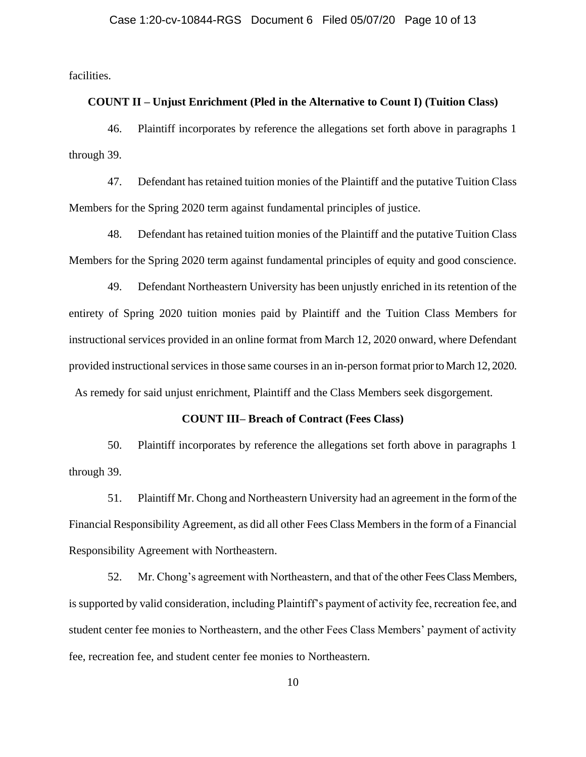facilities.

### **COUNT II – Unjust Enrichment (Pled in the Alternative to Count I) (Tuition Class)**

46. Plaintiff incorporates by reference the allegations set forth above in paragraphs 1 through 39.

47. Defendant has retained tuition monies of the Plaintiff and the putative Tuition Class Members for the Spring 2020 term against fundamental principles of justice.

48. Defendant has retained tuition monies of the Plaintiff and the putative Tuition Class Members for the Spring 2020 term against fundamental principles of equity and good conscience.

49. Defendant Northeastern University has been unjustly enriched in its retention of the entirety of Spring 2020 tuition monies paid by Plaintiff and the Tuition Class Members for instructional services provided in an online format from March 12, 2020 onward, where Defendant provided instructional services in those same courses in an in-person format prior to March 12, 2020. As remedy for said unjust enrichment, Plaintiff and the Class Members seek disgorgement.

#### **COUNT III– Breach of Contract (Fees Class)**

50. Plaintiff incorporates by reference the allegations set forth above in paragraphs 1 through 39.

51. Plaintiff Mr. Chong and Northeastern University had an agreement in the form of the Financial Responsibility Agreement, as did all other Fees Class Members in the form of a Financial Responsibility Agreement with Northeastern.

52. Mr. Chong's agreement with Northeastern, and that of the other Fees Class Members, is supported by valid consideration, including Plaintiff's payment of activity fee, recreation fee, and student center fee monies to Northeastern, and the other Fees Class Members' payment of activity fee, recreation fee, and student center fee monies to Northeastern.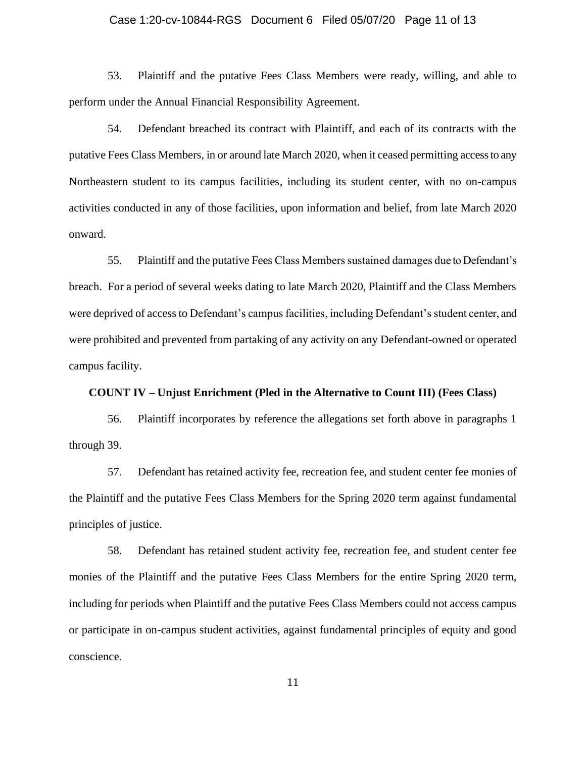### Case 1:20-cv-10844-RGS Document 6 Filed 05/07/20 Page 11 of 13

53. Plaintiff and the putative Fees Class Members were ready, willing, and able to perform under the Annual Financial Responsibility Agreement.

54. Defendant breached its contract with Plaintiff, and each of its contracts with the putative Fees Class Members, in or around late March 2020, when it ceased permitting access to any Northeastern student to its campus facilities, including its student center, with no on-campus activities conducted in any of those facilities, upon information and belief, from late March 2020 onward.

55. Plaintiff and the putative Fees Class Members sustained damages due to Defendant's breach. For a period of several weeks dating to late March 2020, Plaintiff and the Class Members were deprived of access to Defendant's campus facilities, including Defendant's student center, and were prohibited and prevented from partaking of any activity on any Defendant-owned or operated campus facility.

### **COUNT IV – Unjust Enrichment (Pled in the Alternative to Count III) (Fees Class)**

56. Plaintiff incorporates by reference the allegations set forth above in paragraphs 1 through 39.

57. Defendant has retained activity fee, recreation fee, and student center fee monies of the Plaintiff and the putative Fees Class Members for the Spring 2020 term against fundamental principles of justice.

58. Defendant has retained student activity fee, recreation fee, and student center fee monies of the Plaintiff and the putative Fees Class Members for the entire Spring 2020 term, including for periods when Plaintiff and the putative Fees Class Members could not access campus or participate in on-campus student activities, against fundamental principles of equity and good conscience.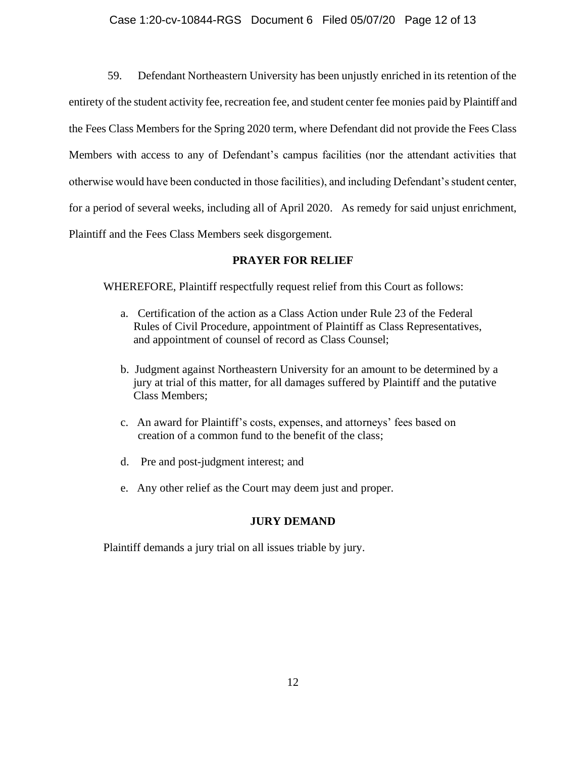# Case 1:20-cv-10844-RGS Document 6 Filed 05/07/20 Page 12 of 13

59. Defendant Northeastern University has been unjustly enriched in its retention of the entirety of the student activity fee, recreation fee, and student center fee monies paid by Plaintiff and the Fees Class Members for the Spring 2020 term, where Defendant did not provide the Fees Class Members with access to any of Defendant's campus facilities (nor the attendant activities that otherwise would have been conducted in those facilities), and including Defendant's student center, for a period of several weeks, including all of April 2020. As remedy for said unjust enrichment, Plaintiff and the Fees Class Members seek disgorgement.

# **PRAYER FOR RELIEF**

WHEREFORE, Plaintiff respectfully request relief from this Court as follows:

- a. Certification of the action as a Class Action under Rule 23 of the Federal Rules of Civil Procedure, appointment of Plaintiff as Class Representatives, and appointment of counsel of record as Class Counsel;
- b. Judgment against Northeastern University for an amount to be determined by a jury at trial of this matter, for all damages suffered by Plaintiff and the putative Class Members;
- c. An award for Plaintiff's costs, expenses, and attorneys' fees based on creation of a common fund to the benefit of the class;
- d. Pre and post-judgment interest; and
- e. Any other relief as the Court may deem just and proper.

# **JURY DEMAND**

Plaintiff demands a jury trial on all issues triable by jury.